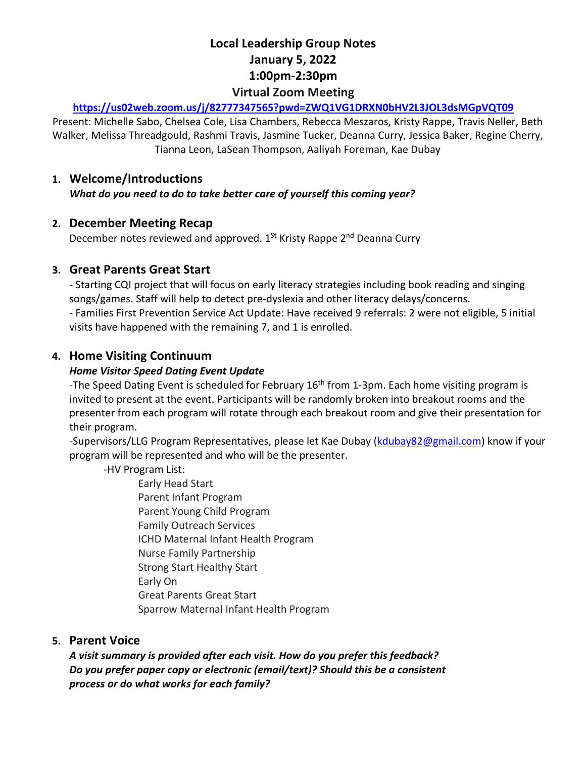# **Local Leadership Group Notes January 5, 2022 1:00pm-2:30pm Virtual Zoom Meeting**

#### **https://us02web.zoom.us/j/82777347565?pwd=ZWQ1VG1DRXN0bHV2L3JOL3dsMGpVQT09**

Present: Michelle Sabo, Chelsea Cole, Lisa Chambers, Rebecca Meszaros, Kristy Rappe, Travis Neller, Beth Walker, Melissa Threadgould, Rashmi Travis, Jasmine Tucker, Deanna Curry, Jessica Baker, Regine Cherry, Tianna Leon, LaSean Thompson, Aaliyah Foreman, Kae Dubay

#### **1. Welcome/Introductions**

*What do you need to do to take better care of yourself this coming year?*

#### **2. December Meeting Recap**

December notes reviewed and approved. 1<sup>St</sup> Kristy Rappe 2<sup>nd</sup> Deanna Curry

## **3. Great Parents Great Start**

- Starting CQI project that will focus on early literacy strategies including book reading and singing songs/games. Staff will help to detect pre-dyslexia and other literacy delays/concerns.

- Families First Prevention Service Act Update: Have received 9 referrals: 2 were not eligible, 5 initial visits have happened with the remaining 7, and 1 is enrolled.

## **4. Home Visiting Continuum**

#### *Home Visitor Speed Dating Event Update*

-The Speed Dating Event is scheduled for February 16<sup>th</sup> from 1-3pm. Each home visiting program is invited to present at the event. Participants will be randomly broken into breakout rooms and the presenter from each program will rotate through each breakout room and give their presentation for their program.

-Supervisors/LLG Program Representatives, please let Kae Dubay (kdubay82@gmail.com) know if your program will be represented and who will be the presenter.

-HV Program List:

Early Head Start Parent Infant Program Parent Young Child Program Family Outreach Services ICHD Maternal Infant Health Program Nurse Family Partnership Strong Start Healthy Start Early On Great Parents Great Start Sparrow Maternal Infant Health Program

## **5. Parent Voice**

*A visit summary is provided after each visit. How do you prefer this feedback? Do you prefer paper copy or electronic (email/text)? Should this be a consistent process or do what works for each family?*